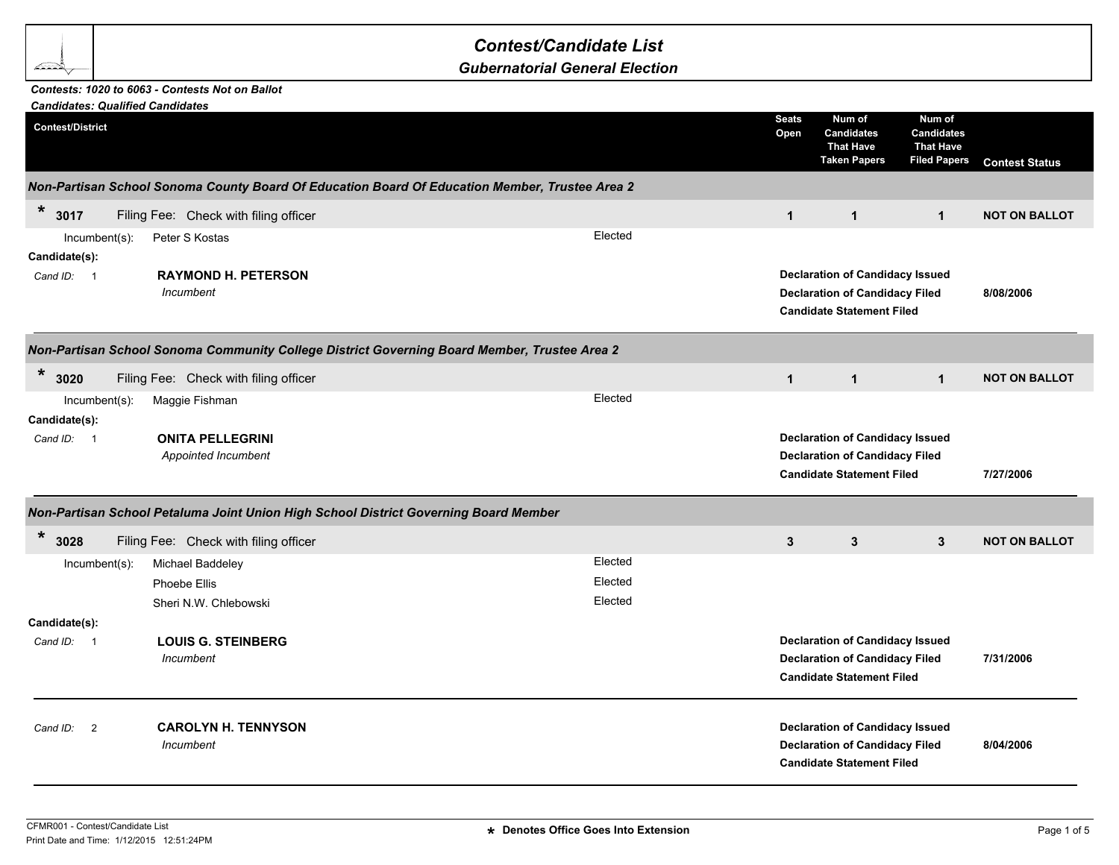## *Contest/Candidate List*

*Gubernatorial General Election*

## *Contests: 1020 to 6063 - Contests Not on Ballot*

| <b>Candidates: Qualified Candidates</b> |                                                |                                                                                                |                      |                                                                                                                     |                                                                        |                       |  |
|-----------------------------------------|------------------------------------------------|------------------------------------------------------------------------------------------------|----------------------|---------------------------------------------------------------------------------------------------------------------|------------------------------------------------------------------------|-----------------------|--|
| <b>Contest/District</b>                 |                                                |                                                                                                | <b>Seats</b><br>Open | Num of<br><b>Candidates</b><br><b>That Have</b><br><b>Taken Papers</b>                                              | Num of<br><b>Candidates</b><br><b>That Have</b><br><b>Filed Papers</b> | <b>Contest Status</b> |  |
|                                         |                                                | Non-Partisan School Sonoma County Board Of Education Board Of Education Member, Trustee Area 2 |                      |                                                                                                                     |                                                                        |                       |  |
| $\ast$<br>3017                          | Filing Fee: Check with filing officer          |                                                                                                | $\mathbf{1}$         | $\mathbf{1}$                                                                                                        | $\mathbf{1}$                                                           | <b>NOT ON BALLOT</b>  |  |
| $Incumbent(s)$ :                        | Peter S Kostas                                 | Elected                                                                                        |                      |                                                                                                                     |                                                                        |                       |  |
| Candidate(s):                           |                                                |                                                                                                |                      |                                                                                                                     |                                                                        |                       |  |
| Cand ID: 1                              | <b>RAYMOND H. PETERSON</b><br>Incumbent        |                                                                                                |                      | <b>Declaration of Candidacy Issued</b><br><b>Declaration of Candidacy Filed</b><br><b>Candidate Statement Filed</b> |                                                                        | 8/08/2006             |  |
|                                         |                                                | Non-Partisan School Sonoma Community College District Governing Board Member, Trustee Area 2   |                      |                                                                                                                     |                                                                        |                       |  |
| $\ast$<br>3020                          | Filing Fee: Check with filing officer          |                                                                                                | $\mathbf{1}$         | $\mathbf{1}$                                                                                                        | $\mathbf{1}$                                                           | <b>NOT ON BALLOT</b>  |  |
| Incumbent(s):                           | Maggie Fishman                                 | Elected                                                                                        |                      |                                                                                                                     |                                                                        |                       |  |
| Candidate(s):                           |                                                |                                                                                                |                      |                                                                                                                     |                                                                        |                       |  |
| Cand ID: 1                              | <b>ONITA PELLEGRINI</b><br>Appointed Incumbent |                                                                                                |                      | <b>Declaration of Candidacy Issued</b><br><b>Declaration of Candidacy Filed</b><br><b>Candidate Statement Filed</b> |                                                                        | 7/27/2006             |  |
|                                         |                                                | Non-Partisan School Petaluma Joint Union High School District Governing Board Member           |                      |                                                                                                                     |                                                                        |                       |  |
| *<br>3028                               | Filing Fee: Check with filing officer          |                                                                                                | $\mathbf{3}$         | $\mathbf{3}$                                                                                                        | $3\phantom{.0}$                                                        | <b>NOT ON BALLOT</b>  |  |
| Incumbent(s):                           | Michael Baddeley                               | Elected                                                                                        |                      |                                                                                                                     |                                                                        |                       |  |
|                                         | Phoebe Ellis                                   | Elected                                                                                        |                      |                                                                                                                     |                                                                        |                       |  |
|                                         | Sheri N.W. Chlebowski                          | Elected                                                                                        |                      |                                                                                                                     |                                                                        |                       |  |
| Candidate(s):                           |                                                |                                                                                                |                      |                                                                                                                     |                                                                        |                       |  |
| Cand ID: 1                              | <b>LOUIS G. STEINBERG</b>                      |                                                                                                |                      | <b>Declaration of Candidacy Issued</b>                                                                              |                                                                        |                       |  |
|                                         | Incumbent                                      |                                                                                                |                      | <b>Declaration of Candidacy Filed</b><br><b>Candidate Statement Filed</b>                                           |                                                                        | 7/31/2006             |  |
| $\overline{2}$<br>Cand ID:              | <b>CAROLYN H. TENNYSON</b><br>Incumbent        |                                                                                                |                      | <b>Declaration of Candidacy Issued</b><br><b>Declaration of Candidacy Filed</b><br><b>Candidate Statement Filed</b> |                                                                        | 8/04/2006             |  |
|                                         |                                                |                                                                                                |                      |                                                                                                                     |                                                                        |                       |  |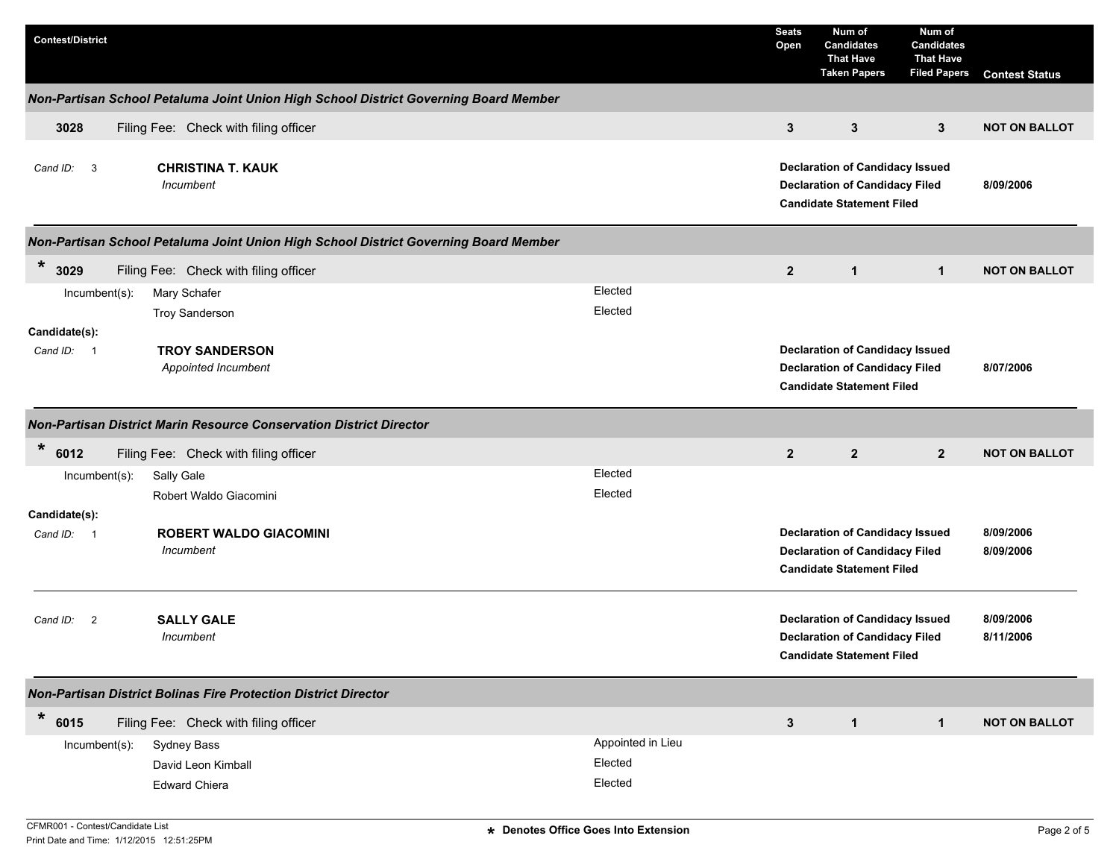| <b>Contest/District</b> |                                                                                      |                   | <b>Seats</b><br>Open                                                                                                | Num of<br><b>Candidates</b><br><b>That Have</b><br><b>Taken Papers</b>                                              | Num of<br><b>Candidates</b><br><b>That Have</b><br><b>Filed Papers</b> | <b>Contest Status</b>  |
|-------------------------|--------------------------------------------------------------------------------------|-------------------|---------------------------------------------------------------------------------------------------------------------|---------------------------------------------------------------------------------------------------------------------|------------------------------------------------------------------------|------------------------|
|                         | Non-Partisan School Petaluma Joint Union High School District Governing Board Member |                   |                                                                                                                     |                                                                                                                     |                                                                        |                        |
| 3028                    | Filing Fee: Check with filing officer                                                |                   | $\mathbf{3}$                                                                                                        | $\mathbf{3}$                                                                                                        | 3                                                                      | <b>NOT ON BALLOT</b>   |
| Cand ID: 3              | <b>CHRISTINA T. KAUK</b><br>Incumbent                                                |                   |                                                                                                                     | <b>Declaration of Candidacy Issued</b><br><b>Declaration of Candidacy Filed</b><br><b>Candidate Statement Filed</b> |                                                                        | 8/09/2006              |
|                         | Non-Partisan School Petaluma Joint Union High School District Governing Board Member |                   |                                                                                                                     |                                                                                                                     |                                                                        |                        |
| $\ast$<br>3029          | Filing Fee: Check with filing officer                                                |                   | $\overline{2}$                                                                                                      | $\mathbf{1}$                                                                                                        | $\mathbf 1$                                                            | <b>NOT ON BALLOT</b>   |
| Incumbent(s):           | Mary Schafer                                                                         | Elected           |                                                                                                                     |                                                                                                                     |                                                                        |                        |
|                         | <b>Troy Sanderson</b>                                                                | Elected           |                                                                                                                     |                                                                                                                     |                                                                        |                        |
| Candidate(s):           |                                                                                      |                   |                                                                                                                     |                                                                                                                     |                                                                        |                        |
| Cand ID: 1              | <b>TROY SANDERSON</b><br>Appointed Incumbent                                         |                   | <b>Declaration of Candidacy Issued</b><br><b>Declaration of Candidacy Filed</b><br><b>Candidate Statement Filed</b> |                                                                                                                     |                                                                        | 8/07/2006              |
|                         | Non-Partisan District Marin Resource Conservation District Director                  |                   |                                                                                                                     |                                                                                                                     |                                                                        |                        |
| $\ast$<br>6012          | Filing Fee: Check with filing officer                                                |                   | $\overline{2}$                                                                                                      | $\overline{2}$                                                                                                      | $\overline{2}$                                                         | <b>NOT ON BALLOT</b>   |
| $Incumbent(s)$ :        | Sally Gale                                                                           | Elected           |                                                                                                                     |                                                                                                                     |                                                                        |                        |
|                         | Robert Waldo Giacomini                                                               | Elected           |                                                                                                                     |                                                                                                                     |                                                                        |                        |
| Candidate(s):           |                                                                                      |                   |                                                                                                                     |                                                                                                                     |                                                                        |                        |
| Cand ID: 1              | <b>ROBERT WALDO GIACOMINI</b><br>Incumbent                                           |                   |                                                                                                                     | <b>Declaration of Candidacy Issued</b><br><b>Declaration of Candidacy Filed</b><br><b>Candidate Statement Filed</b> |                                                                        | 8/09/2006<br>8/09/2006 |
| Cand ID:<br>2           | <b>SALLY GALE</b><br>Incumbent                                                       |                   |                                                                                                                     | <b>Declaration of Candidacy Issued</b><br><b>Declaration of Candidacy Filed</b><br><b>Candidate Statement Filed</b> |                                                                        | 8/09/2006<br>8/11/2006 |
|                         | <b>Non-Partisan District Bolinas Fire Protection District Director</b>               |                   |                                                                                                                     |                                                                                                                     |                                                                        |                        |
| $\ast$<br>6015          | Filing Fee: Check with filing officer                                                |                   | $\mathbf{3}$                                                                                                        | $\mathbf{1}$                                                                                                        | $\mathbf{1}$                                                           | <b>NOT ON BALLOT</b>   |
| Incumbent(s):           | Sydney Bass                                                                          | Appointed in Lieu |                                                                                                                     |                                                                                                                     |                                                                        |                        |
|                         | David Leon Kimball                                                                   | Elected           |                                                                                                                     |                                                                                                                     |                                                                        |                        |
|                         | <b>Edward Chiera</b>                                                                 | Elected           |                                                                                                                     |                                                                                                                     |                                                                        |                        |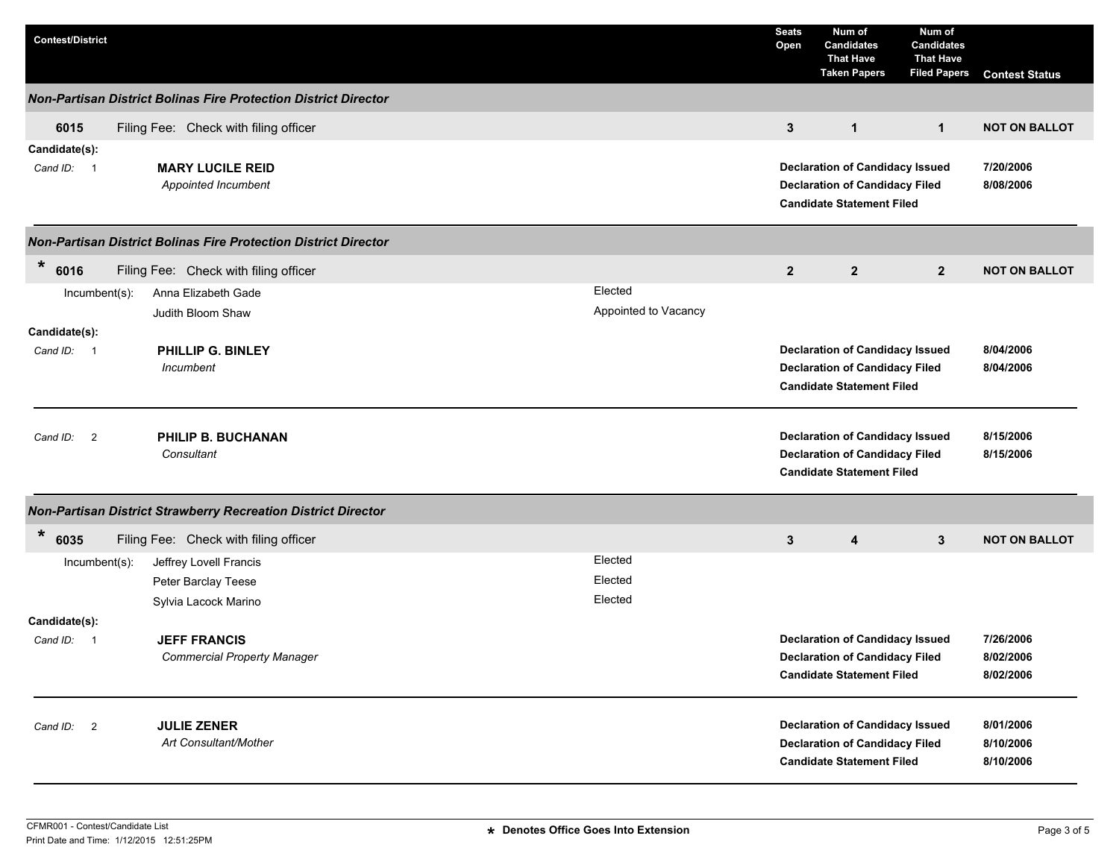| <b>Contest/District</b>     |                                                                        |                                 | <b>Seats</b><br>Open | Num of<br><b>Candidates</b><br><b>That Have</b><br><b>Taken Papers</b>                                              | Num of<br><b>Candidates</b><br><b>That Have</b><br><b>Filed Papers</b> | <b>Contest Status</b>               |
|-----------------------------|------------------------------------------------------------------------|---------------------------------|----------------------|---------------------------------------------------------------------------------------------------------------------|------------------------------------------------------------------------|-------------------------------------|
|                             | <b>Non-Partisan District Bolinas Fire Protection District Director</b> |                                 |                      |                                                                                                                     |                                                                        |                                     |
| 6015                        | Filing Fee: Check with filing officer                                  |                                 | $\mathbf{3}$         | $\mathbf{1}$                                                                                                        | $\mathbf 1$                                                            | <b>NOT ON BALLOT</b>                |
| Candidate(s):<br>Cand ID: 1 | <b>MARY LUCILE REID</b><br>Appointed Incumbent                         |                                 |                      | <b>Declaration of Candidacy Issued</b><br><b>Declaration of Candidacy Filed</b><br><b>Candidate Statement Filed</b> |                                                                        | 7/20/2006<br>8/08/2006              |
|                             | <b>Non-Partisan District Bolinas Fire Protection District Director</b> |                                 |                      |                                                                                                                     |                                                                        |                                     |
| $\ast$<br>6016              | Filing Fee: Check with filing officer                                  |                                 | $\mathbf{2}$         | $\mathbf{2}$                                                                                                        | $\mathbf{2}$                                                           | <b>NOT ON BALLOT</b>                |
| $Incumbent(s)$ :            | Anna Elizabeth Gade<br>Judith Bloom Shaw                               | Elected<br>Appointed to Vacancy |                      |                                                                                                                     |                                                                        |                                     |
| Candidate(s):<br>Cand ID: 1 | PHILLIP G. BINLEY<br>Incumbent                                         |                                 |                      | <b>Declaration of Candidacy Issued</b><br><b>Declaration of Candidacy Filed</b><br><b>Candidate Statement Filed</b> |                                                                        | 8/04/2006<br>8/04/2006              |
| Cand ID: 2                  | <b>PHILIP B. BUCHANAN</b><br>Consultant                                |                                 |                      | <b>Declaration of Candidacy Issued</b><br><b>Declaration of Candidacy Filed</b><br><b>Candidate Statement Filed</b> |                                                                        | 8/15/2006<br>8/15/2006              |
|                             | Non-Partisan District Strawberry Recreation District Director          |                                 |                      |                                                                                                                     |                                                                        |                                     |
| $\ast$<br>6035              | Filing Fee: Check with filing officer                                  |                                 | 3                    | 4                                                                                                                   | $\mathbf{3}$                                                           | <b>NOT ON BALLOT</b>                |
| $Incumbent(s)$ :            | Jeffrey Lovell Francis                                                 | Elected                         |                      |                                                                                                                     |                                                                        |                                     |
|                             | Peter Barclay Teese                                                    | Elected                         |                      |                                                                                                                     |                                                                        |                                     |
| Candidate(s):               | Sylvia Lacock Marino                                                   | Elected                         |                      |                                                                                                                     |                                                                        |                                     |
| Cand ID: 1                  | <b>JEFF FRANCIS</b><br><b>Commercial Property Manager</b>              |                                 |                      | <b>Declaration of Candidacy Issued</b><br><b>Declaration of Candidacy Filed</b><br><b>Candidate Statement Filed</b> |                                                                        | 7/26/2006<br>8/02/2006<br>8/02/2006 |
| Cand ID: 2                  | <b>JULIE ZENER</b><br>Art Consultant/Mother                            |                                 |                      | <b>Declaration of Candidacy Issued</b><br><b>Declaration of Candidacy Filed</b><br><b>Candidate Statement Filed</b> |                                                                        | 8/01/2006<br>8/10/2006<br>8/10/2006 |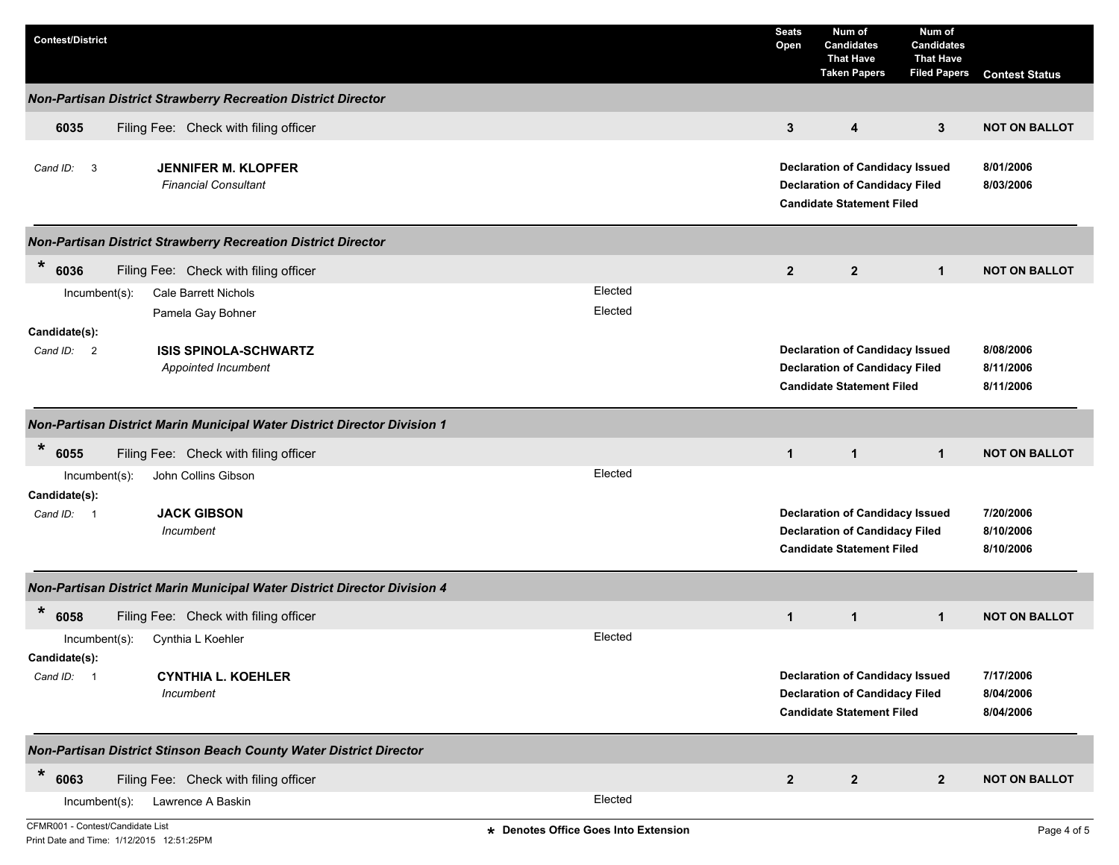| <b>Contest/District</b>                                                                                |                                      | <b>Seats</b><br>Open | Num of<br><b>Candidates</b><br><b>That Have</b><br><b>Taken Papers</b>                                              | Num of<br><b>Candidates</b><br><b>That Have</b><br><b>Filed Papers</b> | <b>Contest Status</b>               |
|--------------------------------------------------------------------------------------------------------|--------------------------------------|----------------------|---------------------------------------------------------------------------------------------------------------------|------------------------------------------------------------------------|-------------------------------------|
| Non-Partisan District Strawberry Recreation District Director                                          |                                      |                      |                                                                                                                     |                                                                        |                                     |
| 6035<br>Filing Fee: Check with filing officer                                                          |                                      | 3                    | 4                                                                                                                   | 3                                                                      | <b>NOT ON BALLOT</b>                |
| <b>JENNIFER M. KLOPFER</b><br>Cand ID: 3<br><b>Financial Consultant</b>                                |                                      |                      | <b>Declaration of Candidacy Issued</b><br><b>Declaration of Candidacy Filed</b><br><b>Candidate Statement Filed</b> |                                                                        | 8/01/2006<br>8/03/2006              |
| Non-Partisan District Strawberry Recreation District Director                                          |                                      |                      |                                                                                                                     |                                                                        |                                     |
| $\ast$<br>6036<br>Filing Fee: Check with filing officer                                                |                                      | $\overline{2}$       | $\overline{2}$                                                                                                      | $\mathbf{1}$                                                           | <b>NOT ON BALLOT</b>                |
| Incumbent(s):<br><b>Cale Barrett Nichols</b><br>Pamela Gay Bohner                                      | Elected<br>Elected                   |                      |                                                                                                                     |                                                                        |                                     |
| Candidate(s):<br><b>ISIS SPINOLA-SCHWARTZ</b><br>Cand ID: 2<br>Appointed Incumbent                     |                                      |                      | <b>Declaration of Candidacy Issued</b><br><b>Declaration of Candidacy Filed</b><br><b>Candidate Statement Filed</b> |                                                                        | 8/08/2006<br>8/11/2006<br>8/11/2006 |
| Non-Partisan District Marin Municipal Water District Director Division 1                               |                                      |                      |                                                                                                                     |                                                                        |                                     |
| $\ast$<br>6055<br>Filing Fee: Check with filing officer                                                |                                      | $\mathbf{1}$         | $\mathbf{1}$                                                                                                        | $\mathbf{1}$                                                           | <b>NOT ON BALLOT</b>                |
| John Collins Gibson<br>Incumbent(s):<br>Candidate(s):<br><b>JACK GIBSON</b><br>Cand ID: 1<br>Incumbent | Elected                              |                      | <b>Declaration of Candidacy Issued</b><br><b>Declaration of Candidacy Filed</b><br><b>Candidate Statement Filed</b> |                                                                        | 7/20/2006<br>8/10/2006<br>8/10/2006 |
| Non-Partisan District Marin Municipal Water District Director Division 4                               |                                      |                      |                                                                                                                     |                                                                        |                                     |
| $\ast$<br>6058<br>Filing Fee: Check with filing officer                                                |                                      | $\mathbf{1}$         | $\mathbf{1}$                                                                                                        | $\mathbf{1}$                                                           | <b>NOT ON BALLOT</b>                |
| Cynthia L Koehler<br>$Incumbent(s)$ :<br>Candidate(s):                                                 | Elected                              |                      |                                                                                                                     |                                                                        |                                     |
| Cand ID: 1<br><b>CYNTHIA L. KOEHLER</b><br>Incumbent                                                   |                                      |                      | <b>Declaration of Candidacy Issued</b><br><b>Declaration of Candidacy Filed</b><br><b>Candidate Statement Filed</b> |                                                                        | 7/17/2006<br>8/04/2006<br>8/04/2006 |
| Non-Partisan District Stinson Beach County Water District Director                                     |                                      |                      |                                                                                                                     |                                                                        |                                     |
| $\ast$<br>6063<br>Filing Fee: Check with filing officer                                                |                                      | $\mathbf{2}$         | $\mathbf{2}$                                                                                                        | $\mathbf{2}$                                                           | <b>NOT ON BALLOT</b>                |
| Incumbent(s):<br>Lawrence A Baskin                                                                     | Elected                              |                      |                                                                                                                     |                                                                        |                                     |
| CFMR001 - Contest/Candidate List                                                                       | * Denotes Office Goes Into Extension |                      |                                                                                                                     |                                                                        | Page 4 of 5                         |